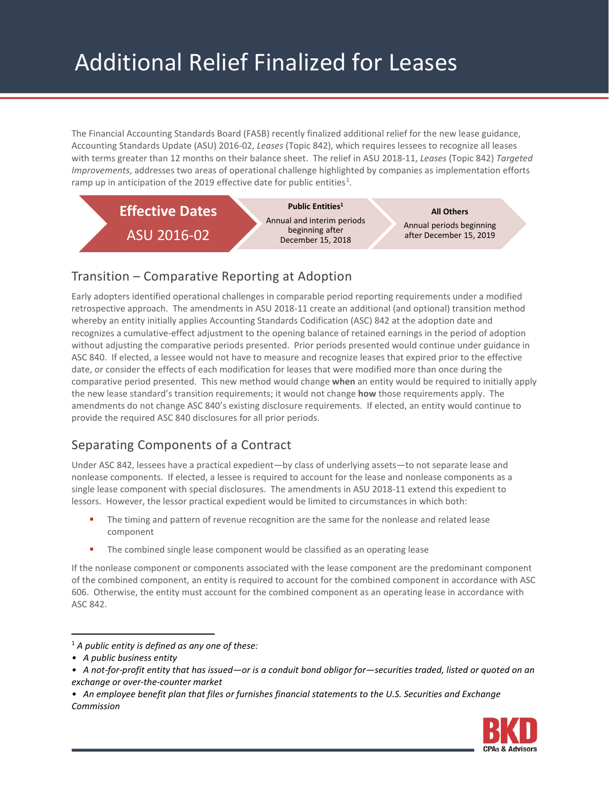The Financial Accounting Standards Board (FASB) recently finalized additional relief for the new lease guidance, Accounting Standards Update (ASU) 2016-02, *Leases* (Topic 842), which requires lessees to recognize all leases with terms greater than 12 months on their balance sheet. The relief in ASU 2018-11, *Leases* (Topic 842) *Targeted Improvements*, addresses two areas of operational challenge highlighted by companies as implementation efforts ramp up in anticipation of the 20[1](#page-0-0)9 effective date for public entities<sup>1</sup>.



# Transition – Comparative Reporting at Adoption

Early adopters identified operational challenges in comparable period reporting requirements under a modified retrospective approach. The amendments in ASU 2018-11 create an additional (and optional) transition method whereby an entity initially applies Accounting Standards Codification (ASC) 842 at the adoption date and recognizes a cumulative-effect adjustment to the opening balance of retained earnings in the period of adoption without adjusting the comparative periods presented. Prior periods presented would continue under guidance in ASC 840. If elected, a lessee would not have to measure and recognize leases that expired prior to the effective date, or consider the effects of each modification for leases that were modified more than once during the comparative period presented. This new method would change **when** an entity would be required to initially apply the new lease standard's transition requirements; it would not change **how** those requirements apply. The amendments do not change ASC 840's existing disclosure requirements. If elected, an entity would continue to provide the required ASC 840 disclosures for all prior periods.

# Separating Components of a Contract

Under ASC 842, lessees have a practical expedient—by class of underlying assets—to not separate lease and nonlease components. If elected, a lessee is required to account for the lease and nonlease components as a single lease component with special disclosures. The amendments in ASU 2018-11 extend this expedient to lessors. However, the lessor practical expedient would be limited to circumstances in which both:

- The timing and pattern of revenue recognition are the same for the nonlease and related lease component
- The combined single lease component would be classified as an operating lease

If the nonlease component or components associated with the lease component are the predominant component of the combined component, an entity is required to account for the combined component in accordance with ASC 606. Otherwise, the entity must account for the combined component as an operating lease in accordance with ASC 842.

*<sup>•</sup> An employee benefit plan that files or furnishes financial statements to the U.S. Securities and Exchange Commission*



<span id="page-0-0"></span> <sup>1</sup> *A public entity is defined as any one of these:*

*<sup>•</sup> A public business entity*

*<sup>•</sup> A not-for-profit entity that has issued—or is a conduit bond obligor for—securities traded, listed or quoted on an exchange or over-the-counter market*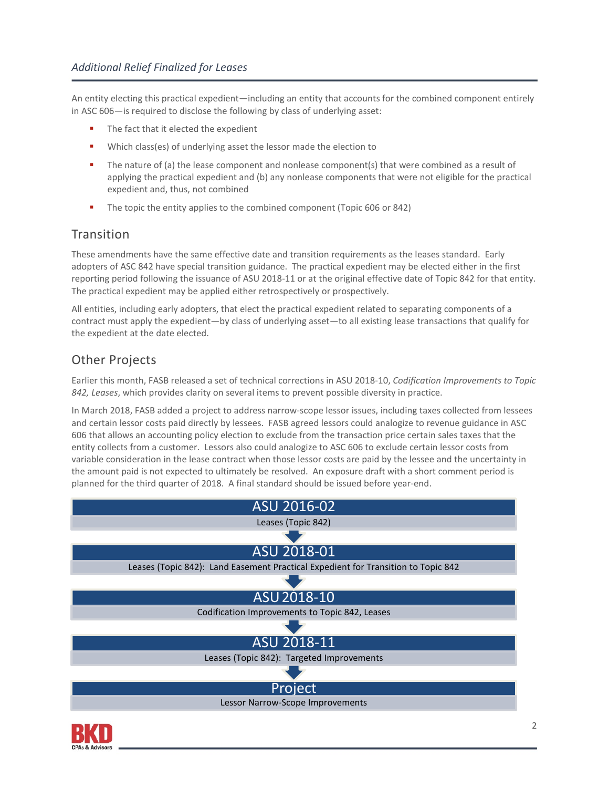An entity electing this practical expedient—including an entity that accounts for the combined component entirely in ASC 606—is required to disclose the following by class of underlying asset:

- The fact that it elected the expedient
- Which class(es) of underlying asset the lessor made the election to
- The nature of (a) the lease component and nonlease component(s) that were combined as a result of applying the practical expedient and (b) any nonlease components that were not eligible for the practical expedient and, thus, not combined
- The topic the entity applies to the combined component (Topic 606 or 842)

### **Transition**

These amendments have the same effective date and transition requirements as the leases standard. Early adopters of ASC 842 have special transition guidance. The practical expedient may be elected either in the first reporting period following the issuance of ASU 2018-11 or at the original effective date of Topic 842 for that entity. The practical expedient may be applied either retrospectively or prospectively.

All entities, including early adopters, that elect the practical expedient related to separating components of a contract must apply the expedient—by class of underlying asset—to all existing lease transactions that qualify for the expedient at the date elected.

## Other Projects

Earlier this month, FASB released a set of technical corrections in ASU 2018-10, *Codification Improvements to Topic 842, Leases*, which provides clarity on several items to prevent possible diversity in practice.

In March 2018, FASB added a project to address narrow-scope lessor issues, including taxes collected from lessees and certain lessor costs paid directly by lessees. FASB agreed lessors could analogize to revenue guidance in ASC 606 that allows an accounting policy election to exclude from the transaction price certain sales taxes that the entity collects from a customer. Lessors also could analogize to ASC 606 to exclude certain lessor costs from variable consideration in the lease contract when those lessor costs are paid by the lessee and the uncertainty in the amount paid is not expected to ultimately be resolved. An exposure draft with a short comment period is planned for the third quarter of 2018. A final standard should be issued before year-end.